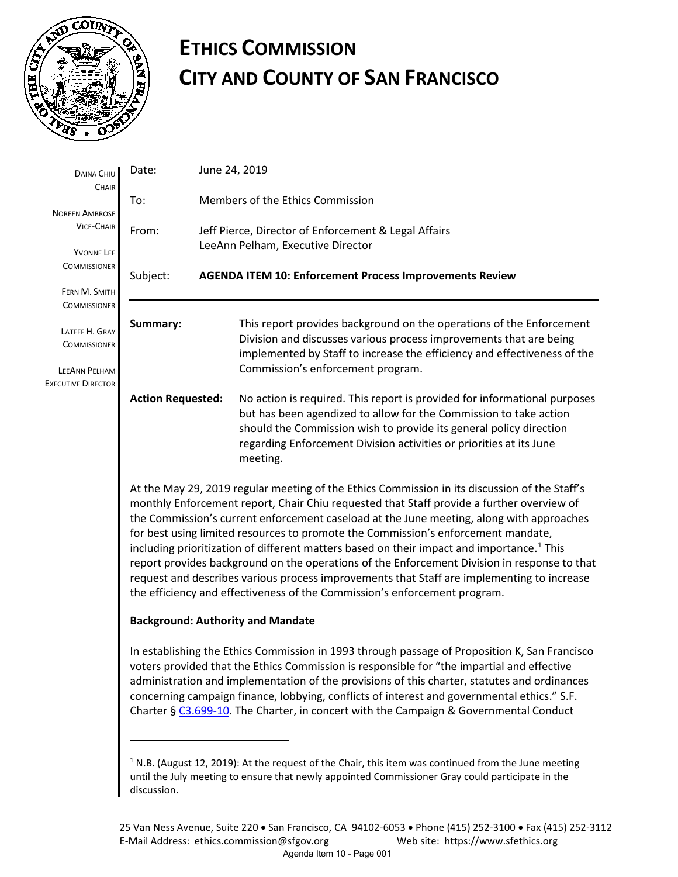

# **ETHICS COMMISSION CITY AND COUNTY OF SAN FRANCISCO**

| DAINA CHIU                                 | Date:                                                                                                                                                                                                                                                                                                                                                                                                                                                                                                                                                                                                                                                                                                                                                                                                       | June 24, 2019 |                                                                                                                                                                                                                                                                                                         |  |  |
|--------------------------------------------|-------------------------------------------------------------------------------------------------------------------------------------------------------------------------------------------------------------------------------------------------------------------------------------------------------------------------------------------------------------------------------------------------------------------------------------------------------------------------------------------------------------------------------------------------------------------------------------------------------------------------------------------------------------------------------------------------------------------------------------------------------------------------------------------------------------|---------------|---------------------------------------------------------------------------------------------------------------------------------------------------------------------------------------------------------------------------------------------------------------------------------------------------------|--|--|
| CHAIR<br><b>NOREEN AMBROSE</b>             | To:                                                                                                                                                                                                                                                                                                                                                                                                                                                                                                                                                                                                                                                                                                                                                                                                         |               | Members of the Ethics Commission                                                                                                                                                                                                                                                                        |  |  |
| <b>VICE-CHAIR</b>                          | From:                                                                                                                                                                                                                                                                                                                                                                                                                                                                                                                                                                                                                                                                                                                                                                                                       |               | Jeff Pierce, Director of Enforcement & Legal Affairs<br>LeeAnn Pelham, Executive Director                                                                                                                                                                                                               |  |  |
| YVONNE LEE<br><b>COMMISSIONER</b>          | Subject:                                                                                                                                                                                                                                                                                                                                                                                                                                                                                                                                                                                                                                                                                                                                                                                                    |               | <b>AGENDA ITEM 10: Enforcement Process Improvements Review</b>                                                                                                                                                                                                                                          |  |  |
| FERN M. SMITH<br><b>COMMISSIONER</b>       |                                                                                                                                                                                                                                                                                                                                                                                                                                                                                                                                                                                                                                                                                                                                                                                                             |               |                                                                                                                                                                                                                                                                                                         |  |  |
| LATEEF H. GRAY<br><b>COMMISSIONER</b>      | Summary:                                                                                                                                                                                                                                                                                                                                                                                                                                                                                                                                                                                                                                                                                                                                                                                                    |               | This report provides background on the operations of the Enforcement<br>Division and discusses various process improvements that are being<br>implemented by Staff to increase the efficiency and effectiveness of the                                                                                  |  |  |
| LEEANN PELHAM<br><b>EXECUTIVE DIRECTOR</b> |                                                                                                                                                                                                                                                                                                                                                                                                                                                                                                                                                                                                                                                                                                                                                                                                             |               | Commission's enforcement program.                                                                                                                                                                                                                                                                       |  |  |
|                                            | <b>Action Requested:</b>                                                                                                                                                                                                                                                                                                                                                                                                                                                                                                                                                                                                                                                                                                                                                                                    |               | No action is required. This report is provided for informational purposes<br>but has been agendized to allow for the Commission to take action<br>should the Commission wish to provide its general policy direction<br>regarding Enforcement Division activities or priorities at its June<br>meeting. |  |  |
|                                            | At the May 29, 2019 regular meeting of the Ethics Commission in its discussion of the Staff's<br>monthly Enforcement report, Chair Chiu requested that Staff provide a further overview of<br>the Commission's current enforcement caseload at the June meeting, along with approaches<br>for best using limited resources to promote the Commission's enforcement mandate,<br>including prioritization of different matters based on their impact and importance. <sup>1</sup> This<br>report provides background on the operations of the Enforcement Division in response to that<br>request and describes various process improvements that Staff are implementing to increase<br>the efficiency and effectiveness of the Commission's enforcement program.<br><b>Background: Authority and Mandate</b> |               |                                                                                                                                                                                                                                                                                                         |  |  |
|                                            | In establishing the Ethics Commission in 1993 through passage of Proposition K, San Francisco<br>voters provided that the Ethics Commission is responsible for "the impartial and effective<br>administration and implementation of the provisions of this charter, statutes and ordinances<br>concerning campaign finance, lobbying, conflicts of interest and governmental ethics." S.F.<br>Charter § C3.699-10. The Charter, in concert with the Campaign & Governmental Conduct                                                                                                                                                                                                                                                                                                                         |               |                                                                                                                                                                                                                                                                                                         |  |  |
|                                            |                                                                                                                                                                                                                                                                                                                                                                                                                                                                                                                                                                                                                                                                                                                                                                                                             |               | <sup>1</sup> N.B. (August 12, 2019): At the request of the Chair, this item was continued from the June meeting<br>until the July meeting to ensure that newly appointed Commissioner Gray could participate in the                                                                                     |  |  |

<span id="page-0-0"></span>discussion.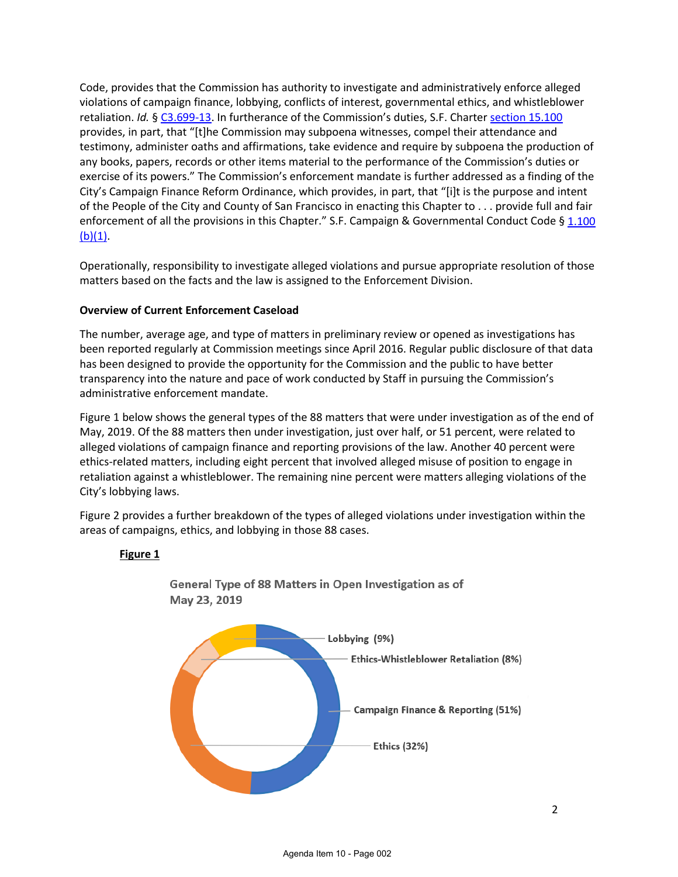Code, provides that the Commission has authority to investigate and administratively enforce alleged violations of campaign finance, lobbying, conflicts of interest, governmental ethics, and whistleblower retaliation. *Id.* § [C3.699-13.](http://library.amlegal.com/nxt/gateway.dll/California/charter_sf/appendixcethicsprovisions*?f=templates$fn=default.htm$3.0$vid=amlegal:sanfrancisco_ca$anc=JD_C3.699-13) In furtherance of the Commission's duties, S.F. Charte[r section](http://library.amlegal.com/nxt/gateway.dll/California/charter_sf/articlexvethics?f=templates$fn=default.htm$3.0$vid=amlegal:sanfrancisco_ca$anc=JD_ArticleXV) 15.100 provides, in part, that "[t]he Commission may subpoena witnesses, compel their attendance and testimony, administer oaths and affirmations, take evidence and require by subpoena the production of any books, papers, records or other items material to the performance of the Commission's duties or exercise of its powers." The Commission's enforcement mandate is further addressed as a finding of the City's Campaign Finance Reform Ordinance, which provides, in part, that "[i]t is the purpose and intent of the People of the City and County of San Francisco in enacting this Chapter to . . . provide full and fair enforcement of all the provisions in this Chapter." S.F. Campaign & Governmental Conduct Code § 1.100  $(b)(1)$ .

Operationally, responsibility to investigate alleged violations and pursue appropriate resolution of those matters based on the facts and the law is assigned to the Enforcement Division.

# **Overview of Current Enforcement Caseload**

The number, average age, and type of matters in preliminary review or opened as investigations has been reported regularly at Commission meetings since April 2016. Regular public disclosure of that data has been designed to provide the opportunity for the Commission and the public to have better transparency into the nature and pace of work conducted by Staff in pursuing the Commission's administrative enforcement mandate.

Figure 1 below shows the general types of the 88 matters that were under investigation as of the end of May, 2019. Of the 88 matters then under investigation, just over half, or 51 percent, were related to alleged violations of campaign finance and reporting provisions of the law. Another 40 percent were ethics-related matters, including eight percent that involved alleged misuse of position to engage in retaliation against a whistleblower. The remaining nine percent were matters alleging violations of the City's lobbying laws.

Figure 2 provides a further breakdown of the types of alleged violations under investigation within the areas of campaigns, ethics, and lobbying in those 88 cases.

#### **Figure 1**



General Type of 88 Matters in Open Investigation as of May 23, 2019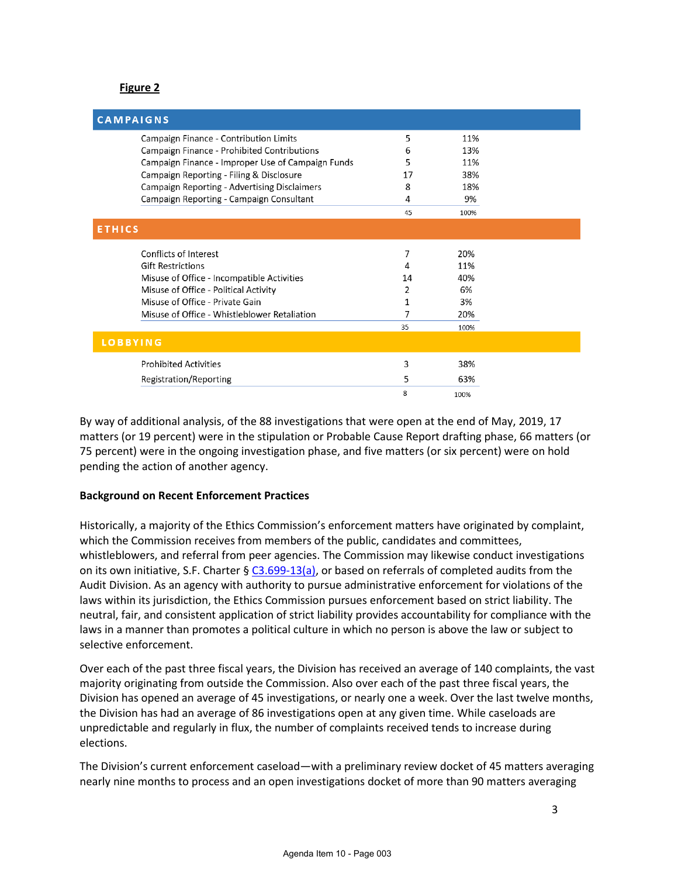# **Figure 2**

| <b>CAMPAIGNS</b>                                    |    |      |  |  |
|-----------------------------------------------------|----|------|--|--|
| Campaign Finance - Contribution Limits              | 5  | 11%  |  |  |
| Campaign Finance - Prohibited Contributions         | 6  | 13%  |  |  |
| Campaign Finance - Improper Use of Campaign Funds   | 5  | 11%  |  |  |
| Campaign Reporting - Filing & Disclosure            | 17 | 38%  |  |  |
| <b>Campaign Reporting - Advertising Disclaimers</b> | 8  | 18%  |  |  |
| Campaign Reporting - Campaign Consultant            | 4  | 9%   |  |  |
|                                                     | 45 | 100% |  |  |
| <b>ETHICS</b>                                       |    |      |  |  |
| Conflicts of Interest                               | 7  | 20%  |  |  |
| <b>Gift Restrictions</b>                            | 4  | 11%  |  |  |
| Misuse of Office - Incompatible Activities          | 14 | 40%  |  |  |
| Misuse of Office - Political Activity               | 2  | 6%   |  |  |
| Misuse of Office - Private Gain                     | 1  | 3%   |  |  |
| Misuse of Office - Whistleblower Retaliation        | 7  | 20%  |  |  |
|                                                     | 35 | 100% |  |  |
| <b>LOBBYING</b>                                     |    |      |  |  |
| <b>Prohibited Activities</b>                        | 3  | 38%  |  |  |
| Registration/Reporting                              | 5  | 63%  |  |  |
|                                                     | 8  | 100% |  |  |

By way of additional analysis, of the 88 investigations that were open at the end of May, 2019, 17 matters (or 19 percent) were in the stipulation or Probable Cause Report drafting phase, 66 matters (or 75 percent) were in the ongoing investigation phase, and five matters (or six percent) were on hold pending the action of another agency.

#### **Background on Recent Enforcement Practices**

Historically, a majority of the Ethics Commission's enforcement matters have originated by complaint, which the Commission receives from members of the public, candidates and committees, whistleblowers, and referral from peer agencies. The Commission may likewise conduct investigations on its own initiative, S.F. Charter §  $C3.699-13(a)$ , or based on referrals of completed audits from the Audit Division. As an agency with authority to pursue administrative enforcement for violations of the laws within its jurisdiction, the Ethics Commission pursues enforcement based on strict liability. The neutral, fair, and consistent application of strict liability provides accountability for compliance with the laws in a manner than promotes a political culture in which no person is above the law or subject to selective enforcement.

Over each of the past three fiscal years, the Division has received an average of 140 complaints, the vast majority originating from outside the Commission. Also over each of the past three fiscal years, the Division has opened an average of 45 investigations, or nearly one a week. Over the last twelve months, the Division has had an average of 86 investigations open at any given time. While caseloads are unpredictable and regularly in flux, the number of complaints received tends to increase during elections.

The Division's current enforcement caseload—with a preliminary review docket of 45 matters averaging nearly nine months to process and an open investigations docket of more than 90 matters averaging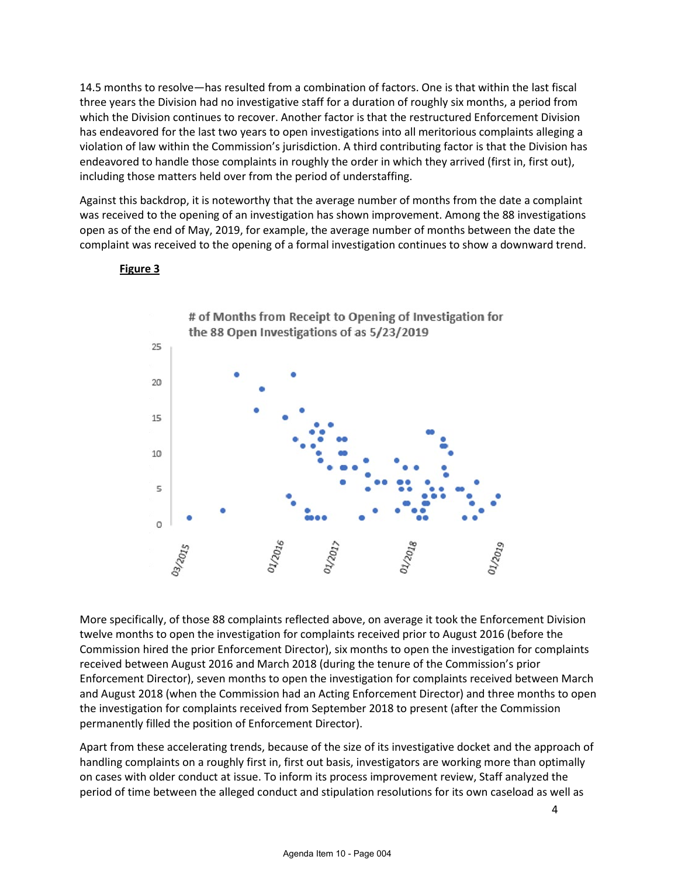14.5 months to resolve—has resulted from a combination of factors. One is that within the last fiscal three years the Division had no investigative staff for a duration of roughly six months, a period from which the Division continues to recover. Another factor is that the restructured Enforcement Division has endeavored for the last two years to open investigations into all meritorious complaints alleging a violation of law within the Commission's jurisdiction. A third contributing factor is that the Division has endeavored to handle those complaints in roughly the order in which they arrived (first in, first out), including those matters held over from the period of understaffing.

Against this backdrop, it is noteworthy that the average number of months from the date a complaint was received to the opening of an investigation has shown improvement. Among the 88 investigations open as of the end of May, 2019, for example, the average number of months between the date the complaint was received to the opening of a formal investigation continues to show a downward trend.



#### **Figure 3**

More specifically, of those 88 complaints reflected above, on average it took the Enforcement Division twelve months to open the investigation for complaints received prior to August 2016 (before the Commission hired the prior Enforcement Director), six months to open the investigation for complaints received between August 2016 and March 2018 (during the tenure of the Commission's prior Enforcement Director), seven months to open the investigation for complaints received between March and August 2018 (when the Commission had an Acting Enforcement Director) and three months to open the investigation for complaints received from September 2018 to present (after the Commission permanently filled the position of Enforcement Director).

Apart from these accelerating trends, because of the size of its investigative docket and the approach of handling complaints on a roughly first in, first out basis, investigators are working more than optimally on cases with older conduct at issue. To inform its process improvement review, Staff analyzed the period of time between the alleged conduct and stipulation resolutions for its own caseload as well as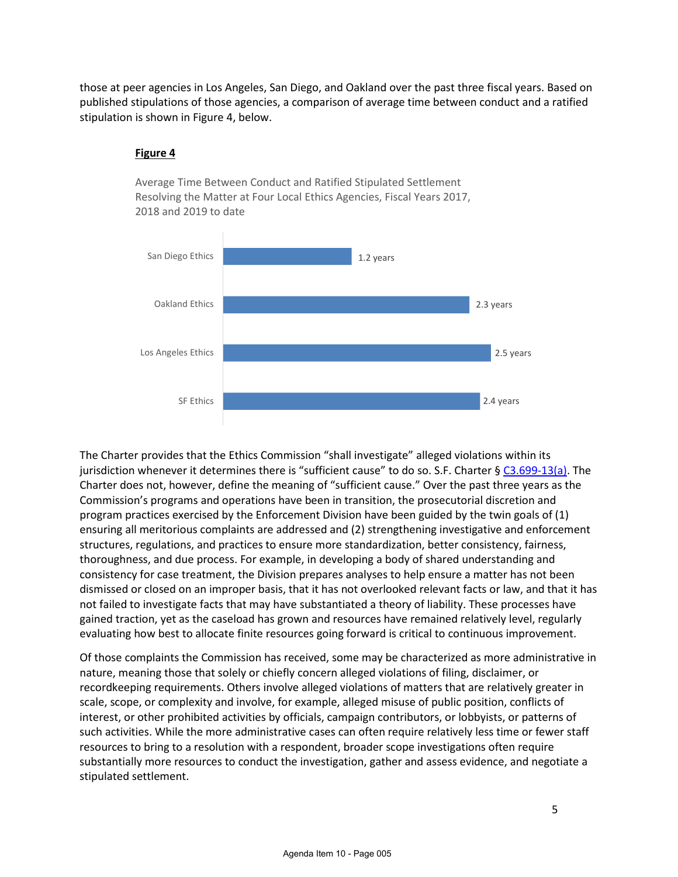those at peer agencies in Los Angeles, San Diego, and Oakland over the past three fiscal years. Based on published stipulations of those agencies, a comparison of average time between conduct and a ratified stipulation is shown in Figure 4, below.

> Average Time Between Conduct and Ratified Stipulated Settlement Resolving the Matter at Four Local Ethics Agencies, Fiscal Years 2017,

# 2.4 years 2.5 years 2.3 years 1.2 years SF Ethics Los Angeles Ethics Oakland Ethics San Diego Ethics

# **Figure 4**

2018 and 2019 to date

The Charter provides that the Ethics Commission "shall investigate" alleged violations within its jurisdiction whenever it determines there is "sufficient cause" to do so. S.F. Charter [§ C3.699-13\(a\).](http://library.amlegal.com/nxt/gateway.dll/California/charter_sf/appendixcethicsprovisions*?f=templates$fn=default.htm$3.0$vid=amlegal:sanfrancisco_ca$anc=JD_C3.699-13) The Charter does not, however, define the meaning of "sufficient cause." Over the past three years as the Commission's programs and operations have been in transition, the prosecutorial discretion and program practices exercised by the Enforcement Division have been guided by the twin goals of (1) ensuring all meritorious complaints are addressed and (2) strengthening investigative and enforcement structures, regulations, and practices to ensure more standardization, better consistency, fairness, thoroughness, and due process. For example, in developing a body of shared understanding and consistency for case treatment, the Division prepares analyses to help ensure a matter has not been dismissed or closed on an improper basis, that it has not overlooked relevant facts or law, and that it has not failed to investigate facts that may have substantiated a theory of liability. These processes have gained traction, yet as the caseload has grown and resources have remained relatively level, regularly evaluating how best to allocate finite resources going forward is critical to continuous improvement.

Of those complaints the Commission has received, some may be characterized as more administrative in nature, meaning those that solely or chiefly concern alleged violations of filing, disclaimer, or recordkeeping requirements. Others involve alleged violations of matters that are relatively greater in scale, scope, or complexity and involve, for example, alleged misuse of public position, conflicts of interest, or other prohibited activities by officials, campaign contributors, or lobbyists, or patterns of such activities. While the more administrative cases can often require relatively less time or fewer staff resources to bring to a resolution with a respondent, broader scope investigations often require substantially more resources to conduct the investigation, gather and assess evidence, and negotiate a stipulated settlement.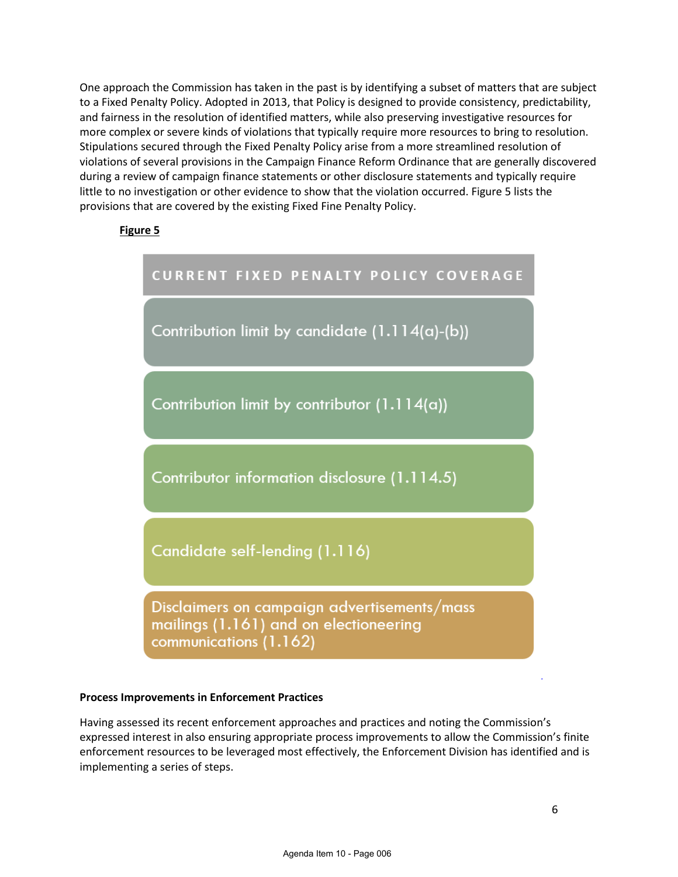One approach the Commission has taken in the past is by identifying a subset of matters that are subject to a Fixed Penalty Policy. Adopted in 2013, that Policy is designed to provide consistency, predictability, and fairness in the resolution of identified matters, while also preserving investigative resources for more complex or severe kinds of violations that typically require more resources to bring to resolution. Stipulations secured through the Fixed Penalty Policy arise from a more streamlined resolution of violations of several provisions in the Campaign Finance Reform Ordinance that are generally discovered during a review of campaign finance statements or other disclosure statements and typically require little to no investigation or other evidence to show that the violation occurred. Figure 5 lists the provisions that are covered by the existing Fixed Fine Penalty Policy.

# **Figure 5**



#### **Process Improvements in Enforcement Practices**

Having assessed its recent enforcement approaches and practices and noting the Commission's expressed interest in also ensuring appropriate process improvements to allow the Commission's finite enforcement resources to be leveraged most effectively, the Enforcement Division has identified and is implementing a series of steps.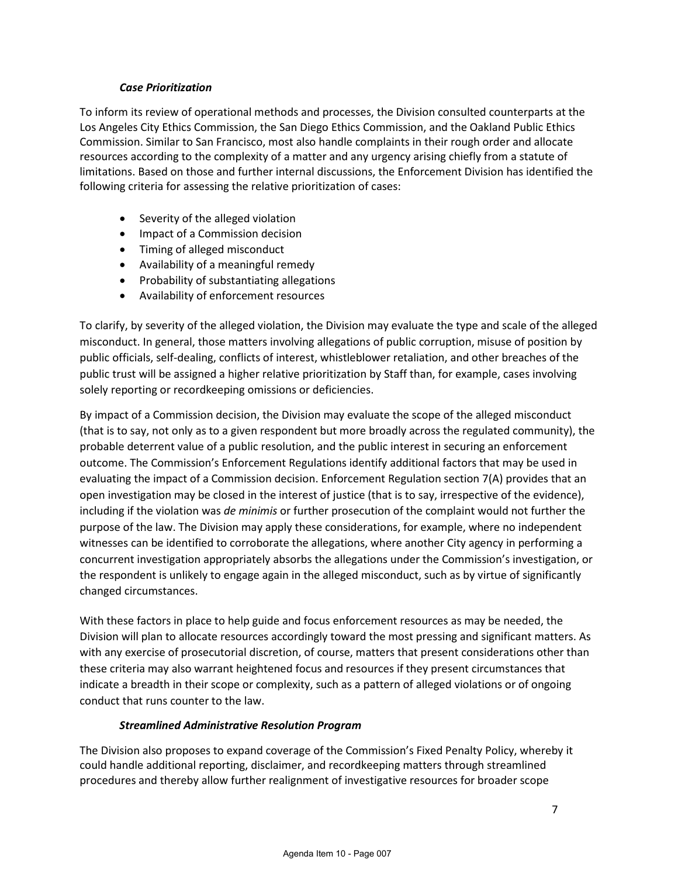## *Case Prioritization*

To inform its review of operational methods and processes, the Division consulted counterparts at the Los Angeles City Ethics Commission, the San Diego Ethics Commission, and the Oakland Public Ethics Commission. Similar to San Francisco, most also handle complaints in their rough order and allocate resources according to the complexity of a matter and any urgency arising chiefly from a statute of limitations. Based on those and further internal discussions, the Enforcement Division has identified the following criteria for assessing the relative prioritization of cases:

- Severity of the alleged violation
- Impact of a Commission decision
- Timing of alleged misconduct
- Availability of a meaningful remedy
- Probability of substantiating allegations
- Availability of enforcement resources

To clarify, by severity of the alleged violation, the Division may evaluate the type and scale of the alleged misconduct. In general, those matters involving allegations of public corruption, misuse of position by public officials, self-dealing, conflicts of interest, whistleblower retaliation, and other breaches of the public trust will be assigned a higher relative prioritization by Staff than, for example, cases involving solely reporting or recordkeeping omissions or deficiencies.

By impact of a Commission decision, the Division may evaluate the scope of the alleged misconduct (that is to say, not only as to a given respondent but more broadly across the regulated community), the probable deterrent value of a public resolution, and the public interest in securing an enforcement outcome. The Commission's Enforcement Regulations identify additional factors that may be used in evaluating the impact of a Commission decision. Enforcement Regulation section 7(A) provides that an open investigation may be closed in the interest of justice (that is to say, irrespective of the evidence), including if the violation was *de minimis* or further prosecution of the complaint would not further the purpose of the law. The Division may apply these considerations, for example, where no independent witnesses can be identified to corroborate the allegations, where another City agency in performing a concurrent investigation appropriately absorbs the allegations under the Commission's investigation, or the respondent is unlikely to engage again in the alleged misconduct, such as by virtue of significantly changed circumstances.

With these factors in place to help guide and focus enforcement resources as may be needed, the Division will plan to allocate resources accordingly toward the most pressing and significant matters. As with any exercise of prosecutorial discretion, of course, matters that present considerations other than these criteria may also warrant heightened focus and resources if they present circumstances that indicate a breadth in their scope or complexity, such as a pattern of alleged violations or of ongoing conduct that runs counter to the law.

# *Streamlined Administrative Resolution Program*

The Division also proposes to expand coverage of the Commission's Fixed Penalty Policy, whereby it could handle additional reporting, disclaimer, and recordkeeping matters through streamlined procedures and thereby allow further realignment of investigative resources for broader scope